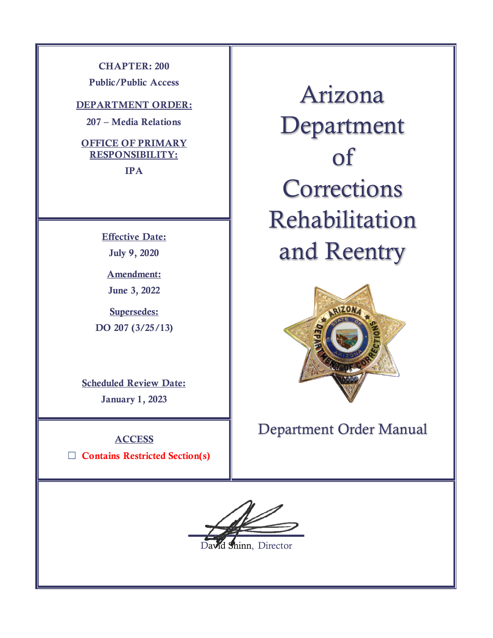**CHAPTER: 200 Public/Public Access**

**DEPARTMENT ORDER:**

**207 – Media Relations**

**OFFICE OF PRIMARY RESPONSIBILITY: IPA**

> **Effective Date: July 9, 2020**

**Amendment: June 3, 2022**

**Supersedes: DO 207 (3/25/13)**

**Scheduled Review Date: January 1, 2023**

**ACCESS** ☐ **Contains Restricted Section(s)**

Arizona Department of **Corrections** Rehabilitation and Reentry



Department Order Manual

David Shinn, Director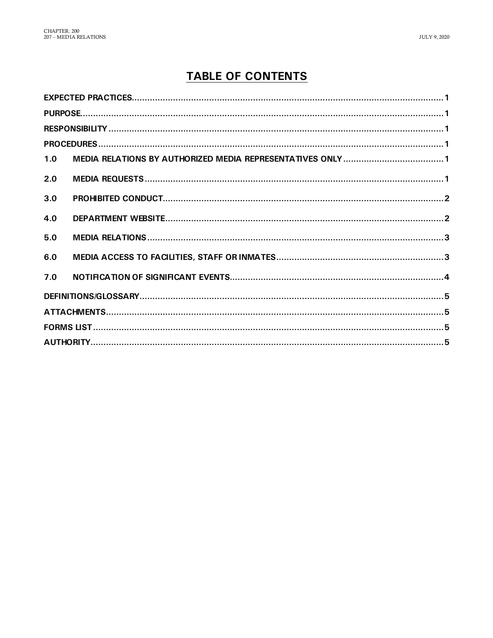# **TABLE OF CONTENTS**

| 1.0 |  |  |  |
|-----|--|--|--|
| 2.0 |  |  |  |
| 3.0 |  |  |  |
| 4.0 |  |  |  |
| 5.0 |  |  |  |
| 6.0 |  |  |  |
| 7.0 |  |  |  |
|     |  |  |  |
|     |  |  |  |
|     |  |  |  |
|     |  |  |  |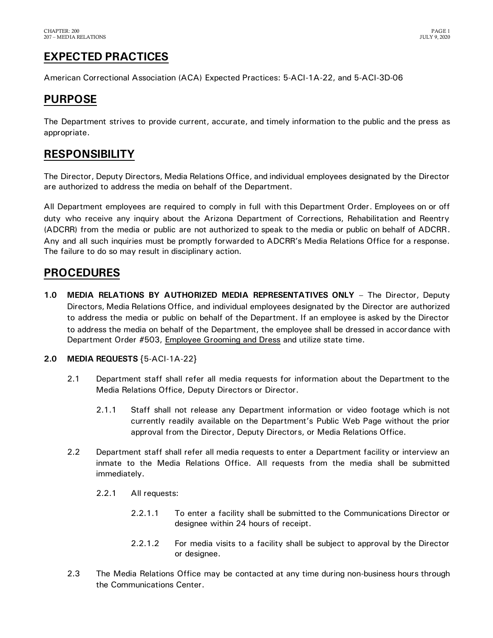# <span id="page-2-0"></span>**EXPECTED PRACTICES**

American Correctional Association (ACA) Expected Practices: 5-ACI-1A-22, and 5-ACI-3D-06

## <span id="page-2-1"></span>**PURPOSE**

The Department strives to provide current, accurate, and timely information to the public and the press as appropriate.

## <span id="page-2-2"></span>**RESPONSIBILITY**

The Director, Deputy Directors, Media Relations Office, and individual employees designated by the Director are authorized to address the media on behalf of the Department.

All Department employees are required to comply in full with this Department Order. Employees on or off duty who receive any inquiry about the Arizona Department of Corrections, Rehabilitation and Reentry (ADCRR) from the media or public are not authorized to speak to the media or public on behalf of ADCRR. Any and all such inquiries must be promptly forwarded to ADCRR's Media Relations Office for a response. The failure to do so may result in disciplinary action.

### <span id="page-2-3"></span>**PROCEDURES**

<span id="page-2-4"></span>**1.0 MEDIA RELATIONS BY AUTHORIZED MEDIA REPRESENTATIVES ONLY** – The Director, Deputy Directors, Media Relations Office, and individual employees designated by the Director are authorized to address the media or public on behalf of the Department. If an employee is asked by the Director to address the media on behalf of the Department, the employee shall be dressed in accordance with Department Order #503, Employee Grooming and Dress and utilize state time.

### <span id="page-2-5"></span>**2.0 MEDIA REQUESTS** {5-ACI-1A-22}

- 2.1 Department staff shall refer all media requests for information about the Department to the Media Relations Office, Deputy Directors or Director.
	- 2.1.1 Staff shall not release any Department information or video footage which is not currently readily available on the Department's Public Web Page without the prior approval from the Director, Deputy Directors, or Media Relations Office.
- 2.2 Department staff shall refer all media requests to enter a Department facility or interview an inmate to the Media Relations Office. All requests from the media shall be submitted immediately.
	- 2.2.1 All requests:
		- 2.2.1.1 To enter a facility shall be submitted to the Communications Director or designee within 24 hours of receipt.
		- 2.2.1.2 For media visits to a facility shall be subject to approval by the Director or designee.
- 2.3 The Media Relations Office may be contacted at any time during non-business hours through the Communications Center.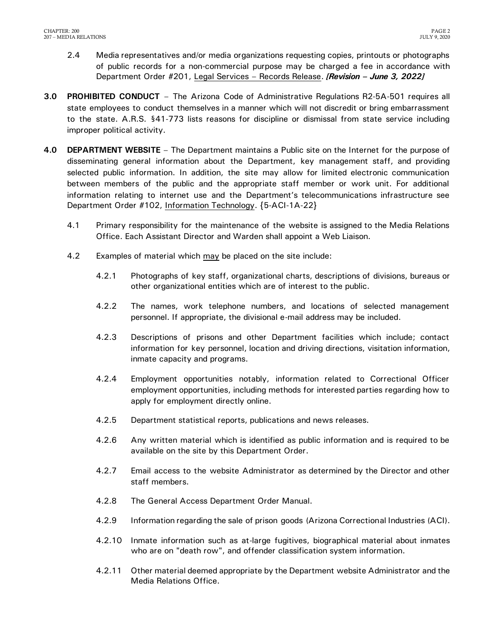- 2.4 Media representatives and/or media organizations requesting copies, printouts or photographs of public records for a non-commercial purpose may be charged a fee in accordance with Department Order #201, Legal Services – Records Release. *[Revision – June 3, 2022]*
- <span id="page-3-0"></span>**3.0 PROHIBITED CONDUCT** – The Arizona Code of Administrative Regulations R2-5A-501 requires all state employees to conduct themselves in a manner which will not discredit or bring embarrassment to the state. A.R.S. §41-773 lists reasons for discipline or dismissal from state service including improper political activity.
- <span id="page-3-1"></span>**4.0 DEPARTMENT WEBSITE** – The Department maintains a Public site on the Internet for the purpose of disseminating general information about the Department, key management staff, and providing selected public information. In addition, the site may allow for limited electronic communication between members of the public and the appropriate staff member or work unit. For additional information relating to internet use and the Department's telecommunications infrastructure see Department Order #102, Information Technology. {5-ACI-1A-22}
	- 4.1 Primary responsibility for the maintenance of the website is assigned to the Media Relations Office. Each Assistant Director and Warden shall appoint a Web Liaison.
	- 4.2 Examples of material which may be placed on the site include:
		- 4.2.1 Photographs of key staff, organizational charts, descriptions of divisions, bureaus or other organizational entities which are of interest to the public.
		- 4.2.2 The names, work telephone numbers, and locations of selected management personnel. If appropriate, the divisional e-mail address may be included.
		- 4.2.3 Descriptions of prisons and other Department facilities which include; contact information for key personnel, location and driving directions, visitation information, inmate capacity and programs.
		- 4.2.4 Employment opportunities notably, information related to Correctional Officer employment opportunities, including methods for interested parties regarding how to apply for employment directly online.
		- 4.2.5 Department statistical reports, publications and news releases.
		- 4.2.6 Any written material which is identified as public information and is required to be available on the site by this Department Order.
		- 4.2.7 Email access to the website Administrator as determined by the Director and other staff members.
		- 4.2.8 The General Access Department Order Manual.
		- 4.2.9 Information regarding the sale of prison goods (Arizona Correctional Industries (ACI).
		- 4.2.10 Inmate information such as at-large fugitives, biographical material about inmates who are on "death row", and offender classification system information.
		- 4.2.11 Other material deemed appropriate by the Department website Administrator and the Media Relations Office.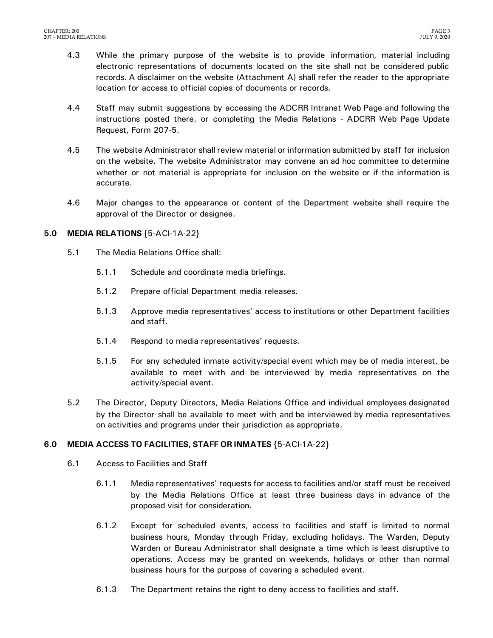- 4.3 While the primary purpose of the website is to provide information, material including electronic representations of documents located on the site shall not be considered public records. A disclaimer on the website (Attachment A) shall refer the reader to the appropriate location for access to official copies of documents or records.
- 4.4 Staff may submit suggestions by accessing the ADCRR Intranet Web Page and following the instructions posted there, or completing the Media Relations - ADCRR Web Page Update Request, Form 207-5.
- 4.5 The website Administrator shall review material or information submitted by staff for inclusion on the website. The website Administrator may convene an ad hoc committee to determine whether or not material is appropriate for inclusion on the website or if the information is accurate.
- 4.6 Major changes to the appearance or content of the Department website shall require the approval of the Director or designee.

#### <span id="page-4-0"></span>**5.0 MEDIA RELATIONS** {5-ACI-1A-22}

- 5.1 The Media Relations Office shall:
	- 5.1.1 Schedule and coordinate media briefings.
	- 5.1.2 Prepare official Department media releases.
	- 5.1.3 Approve media representatives' access to institutions or other Department facilities and staff.
	- 5.1.4 Respond to media representatives' requests.
	- 5.1.5 For any scheduled inmate activity/special event which may be of media interest, be available to meet with and be interviewed by media representatives on the activity/special event.
- 5.2 The Director, Deputy Directors, Media Relations Office and individual employees designated by the Director shall be available to meet with and be interviewed by media representatives on activities and programs under their jurisdiction as appropriate.

### <span id="page-4-1"></span>**6.0 MEDIA ACCESS TO FACILITIES, STAFF OR INMATES** {5-ACI-1A-22}

#### 6.1 Access to Facilities and Staff

- 6.1.1 Media representatives' requests for access to facilities and/or staff must be received by the Media Relations Office at least three business days in advance of the proposed visit for consideration.
- 6.1.2 Except for scheduled events, access to facilities and staff is limited to normal business hours, Monday through Friday, excluding holidays. The Warden, Deputy Warden or Bureau Administrator shall designate a time which is least disruptive to operations. Access may be granted on weekends, holidays or other than normal business hours for the purpose of covering a scheduled event.
- 6.1.3 The Department retains the right to deny access to facilities and staff.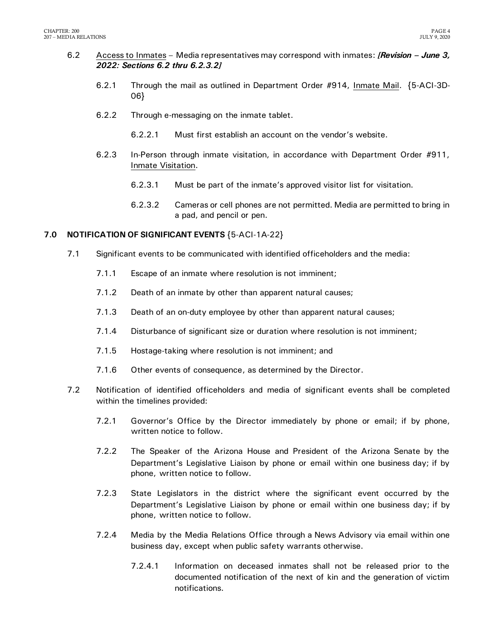- 6.2 Access to Inmates Media representatives may correspond with inmates: *[Revision – June 3, 2022: Sections 6.2 thru 6.2.3.2]*
	- 6.2.1 Through the mail as outlined in Department Order #914, Inmate Mail. {5-ACI-3D-06}
	- 6.2.2 Through e-messaging on the inmate tablet.
		- 6.2.2.1 Must first establish an account on the vendor's website.
	- 6.2.3 In-Person through inmate visitation, in accordance with Department Order #911, Inmate Visitation.
		- 6.2.3.1 Must be part of the inmate's approved visitor list for visitation.
		- 6.2.3.2 Cameras or cell phones are not permitted. Media are permitted to bring in a pad, and pencil or pen.

#### <span id="page-5-0"></span>**7.0 NOTIFICATION OF SIGNIFICANT EVENTS** {5-ACI-1A-22}

- 7.1 Significant events to be communicated with identified officeholders and the media:
	- 7.1.1 Escape of an inmate where resolution is not imminent;
	- 7.1.2 Death of an inmate by other than apparent natural causes;
	- 7.1.3 Death of an on-duty employee by other than apparent natural causes;
	- 7.1.4 Disturbance of significant size or duration where resolution is not imminent;
	- 7.1.5 Hostage-taking where resolution is not imminent; and
	- 7.1.6 Other events of consequence, as determined by the Director.
- 7.2 Notification of identified officeholders and media of significant events shall be completed within the timelines provided:
	- 7.2.1 Governor's Office by the Director immediately by phone or email; if by phone, written notice to follow.
	- 7.2.2 The Speaker of the Arizona House and President of the Arizona Senate by the Department's Legislative Liaison by phone or email within one business day; if by phone, written notice to follow.
	- 7.2.3 State Legislators in the district where the significant event occurred by the Department's Legislative Liaison by phone or email within one business day; if by phone, written notice to follow.
	- 7.2.4 Media by the Media Relations Office through a News Advisory via email within one business day, except when public safety warrants otherwise.
		- 7.2.4.1 Information on deceased inmates shall not be released prior to the documented notification of the next of kin and the generation of victim notifications.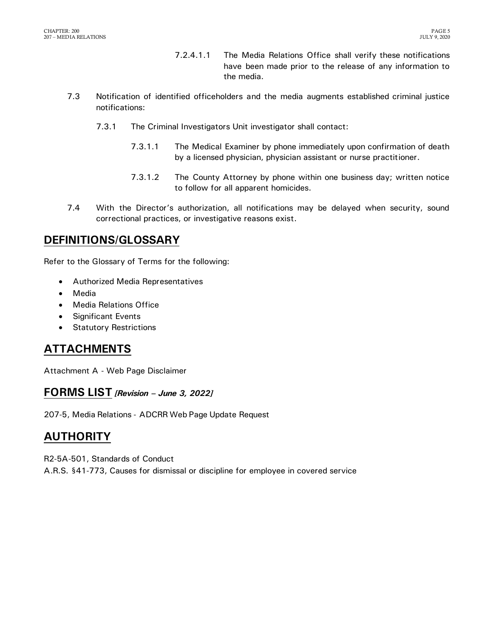- 7.2.4.1.1 The Media Relations Office shall verify these notifications have been made prior to the release of any information to the media.
- 7.3 Notification of identified officeholders and the media augments established criminal justice notifications:
	- 7.3.1 The Criminal Investigators Unit investigator shall contact:
		- 7.3.1.1 The Medical Examiner by phone immediately upon confirmation of death by a licensed physician, physician assistant or nurse practitioner.
		- 7.3.1.2 The County Attorney by phone within one business day; written notice to follow for all apparent homicides.
- 7.4 With the Director's authorization, all notifications may be delayed when security, sound correctional practices, or investigative reasons exist.

### <span id="page-6-0"></span>**DEFINITIONS/GLOSSARY**

Refer to the Glossary of Terms for the following:

- Authorized Media Representatives
- Media
- Media Relations Office
- Significant Events
- **•** Statutory Restrictions

### <span id="page-6-1"></span>**ATTACHMENTS**

Attachment A - Web Page Disclaimer

### <span id="page-6-2"></span>**FORMS LIST** *[Revision – June 3, 2022]*

207-5, Media Relations - ADCRR Web Page Update Request

# <span id="page-6-3"></span>**AUTHORITY**

R2-5A-501, Standards of Conduct A.R.S. §41-773, Causes for dismissal or discipline for employee in covered service